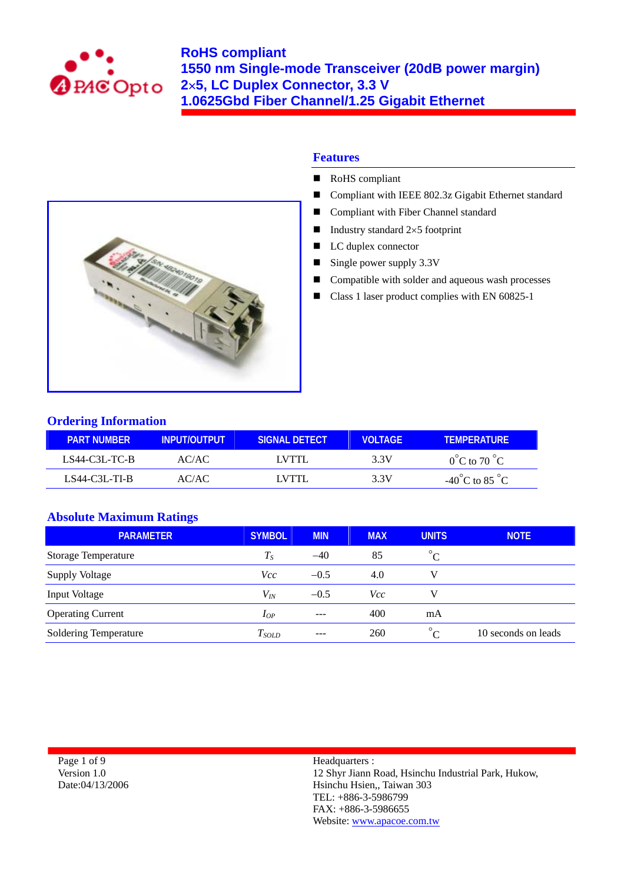



- RoHS compliant
- Compliant with IEEE 802.3z Gigabit Ethernet standard
- Compliant with Fiber Channel standard
- Industry standard  $2\times 5$  footprint
- LC duplex connector
- Single power supply  $3.3V$
- Compatible with solder and aqueous wash processes
- Class 1 laser product complies with EN 60825-1



## **Ordering Information**

| <b>PART NUMBER</b> | <b>INPUT/OUTPUT</b> | SIGNAL DETECT | <b>VOLTAGE</b> | <b>TFMPFRATURF</b>                 |
|--------------------|---------------------|---------------|----------------|------------------------------------|
| LS44-C3L-TC-B      | AC/AC               | LVTTL         | 3.3V           | $0^{\circ}$ C to 70 $^{\circ}$ C   |
| LS44-C3L-TL-B      | AC/AC               | I VTTI        | 3.3V           | $-40^{\circ}$ C to 85 $^{\circ}$ C |

## **Absolute Maximum Ratings**

| <b>PARAMETER</b>           | <b>SYMBOL</b> | <b>MIN</b> | <b>MAX</b> | <b>UNITS</b>          | <b>NOTE</b>         |
|----------------------------|---------------|------------|------------|-----------------------|---------------------|
| <b>Storage Temperature</b> | $T_S$         | $-40$      | 85         | $\circ$<br>$\sqrt{ }$ |                     |
| <b>Supply Voltage</b>      | Vcc           | $-0.5$     | 4.0        | V                     |                     |
| Input Voltage              | $V_{I\!N}$    | $-0.5$     | Vcc        |                       |                     |
| <b>Operating Current</b>   | $I_{OP}$      | $---$      | 400        | mA                    |                     |
| Soldering Temperature      | $T_{SOLD}$    | $---$      | 260        | $\circ$               | 10 seconds on leads |

Page 1 of 9 Version 1.0 Date:04/13/2006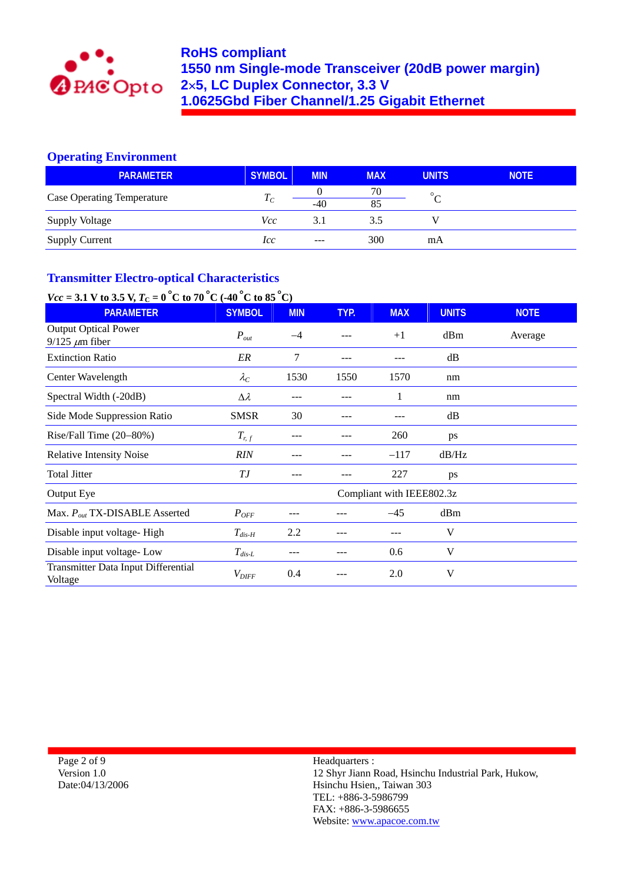

## **Operating Environment**

| <b>PARAMETER</b>                  | <b>SYMBOL</b> | <b>MIN</b>    | <b>MAX</b> | <b>UNITS</b> | <b>NOTE</b> |
|-----------------------------------|---------------|---------------|------------|--------------|-------------|
|                                   |               |               | 70         | $\circ$      |             |
| <b>Case Operating Temperature</b> | $T_C$         | $-40$         | 85         |              |             |
| <b>Supply Voltage</b>             | Vcc           | 3.1           | 3.5        |              |             |
| <b>Supply Current</b>             | lcc           | $\frac{1}{2}$ | 300        | mA           |             |

## **Transmitter Electro-optical Characteristics**

# *Vcc* = 3.1 V to 3.5 V,  $T_c = 0^\circ$ C to 70 °C (-40 °C to 85 °C)

| <b>PARAMETER</b>                                      | <b>SYMBOL</b>     | <b>MIN</b> | TYP. | <b>MAX</b>                | <b>UNITS</b> | <b>NOTE</b> |
|-------------------------------------------------------|-------------------|------------|------|---------------------------|--------------|-------------|
| <b>Output Optical Power</b><br>$9/125 \ \mu m$ fiber  | $P_{out}$         | $-4$       |      | $+1$                      | dBm          | Average     |
| <b>Extinction Ratio</b>                               | ER                | 7          | ---  |                           | dB           |             |
| Center Wavelength                                     | $\lambda_C$       | 1530       | 1550 | 1570                      | nm           |             |
| Spectral Width (-20dB)                                | $\Delta \lambda$  | ---        |      | 1                         | nm           |             |
| Side Mode Suppression Ratio                           | <b>SMSR</b>       | 30         |      |                           | dB           |             |
| Rise/Fall Time $(20-80%)$                             | $T_{r,f}$         | ---        |      | 260                       | ps           |             |
| <b>Relative Intensity Noise</b>                       | <b>RIN</b>        |            |      | $-117$                    | dB/Hz        |             |
| <b>Total Jitter</b>                                   | ТJ                |            |      | 227                       | ps           |             |
| Output Eye                                            |                   |            |      | Compliant with IEEE802.3z |              |             |
| Max. $P_{out}$ TX-DISABLE Asserted                    | $P_{OFF}$         |            |      | $-45$                     | dBm          |             |
| Disable input voltage-High                            | $T_{dis-H}$       | 2.2        |      | ---                       | V            |             |
| Disable input voltage-Low                             | $T_{dis-L}$       |            |      | 0.6                       | V            |             |
| <b>Transmitter Data Input Differential</b><br>Voltage | $V_{\text{DIFF}}$ | 0.4        |      | 2.0                       | V            |             |

Page 2 of 9 Version 1.0 Date:04/13/2006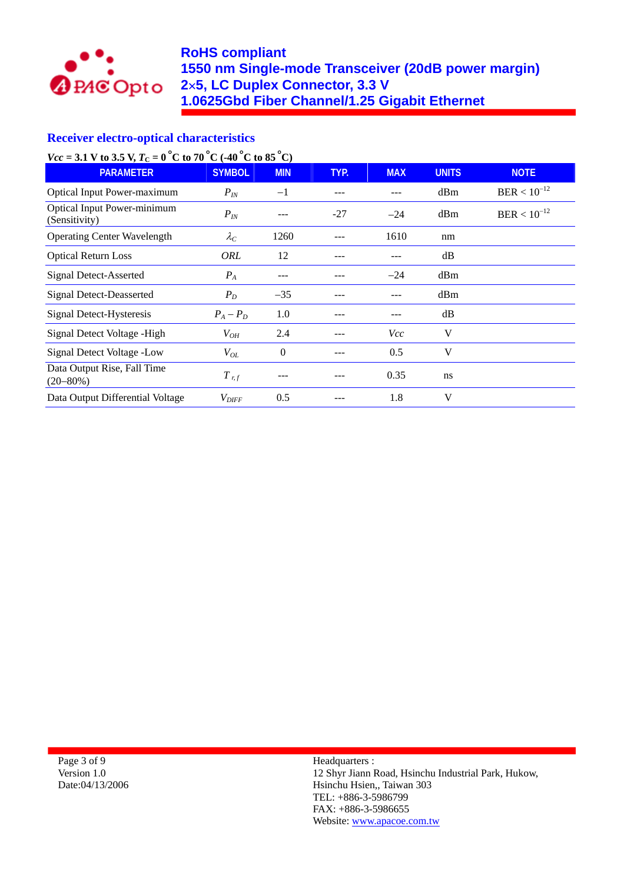

## **RoHS compliant 1550 nm Single-mode Transceiver (20dB power margin) 2**×**5, LC Duplex Connector, 3.3 V 1.0625Gbd Fiber Channel/1.25 Gigabit Ethernet**

## **Receiver electro-optical characteristics**

*Vcc* = 3.1 V to 3.5 V,  $T_c = 0^\circ \text{C}$  to 70  $^{\circ} \text{C}$  (-40  $^{\circ} \text{C}$  to 85  $^{\circ} \text{C}$ )

| <b>PARAMETER</b>                                    | <b>SYMBOL</b>       | <b>MIN</b> | TYP.  | <b>MAX</b> | <b>UNITS</b> | <b>NOTE</b>      |
|-----------------------------------------------------|---------------------|------------|-------|------------|--------------|------------------|
| <b>Optical Input Power-maximum</b>                  | $P_{I\!N}$          | $-1$       |       |            | dBm          | $BER < 10^{-12}$ |
| <b>Optical Input Power-minimum</b><br>(Sensitivity) | $P_{I\!N}$          | ---        | $-27$ | $-24$      | dBm          | $BER < 10^{-12}$ |
| <b>Operating Center Wavelength</b>                  | $\lambda_C$         | 1260       |       | 1610       | nm           |                  |
| <b>Optical Return Loss</b>                          | <b>ORL</b>          | 12         |       |            | dB           |                  |
| Signal Detect-Asserted                              | $P_{A}$             |            |       | $-24$      | dBm          |                  |
| <b>Signal Detect-Deasserted</b>                     | $P_D$               | $-35$      |       |            | dBm          |                  |
| Signal Detect-Hysteresis                            | $P_A - P_D$         | 1.0        |       |            | dB           |                  |
| Signal Detect Voltage - High                        | $V_{OH}$            | 2.4        |       | <i>Vcc</i> | V            |                  |
| Signal Detect Voltage -Low                          | $V_{OL}$            | $\theta$   |       | 0.5        | V            |                  |
| Data Output Rise, Fall Time<br>$(20 - 80\%)$        | $T_{r,f}$           |            |       | 0.35       | ns           |                  |
| Data Output Differential Voltage                    | $V_{\mathit{DIFF}}$ | 0.5        |       | 1.8        | V            |                  |

Page 3 of 9 Version 1.0 Date:04/13/2006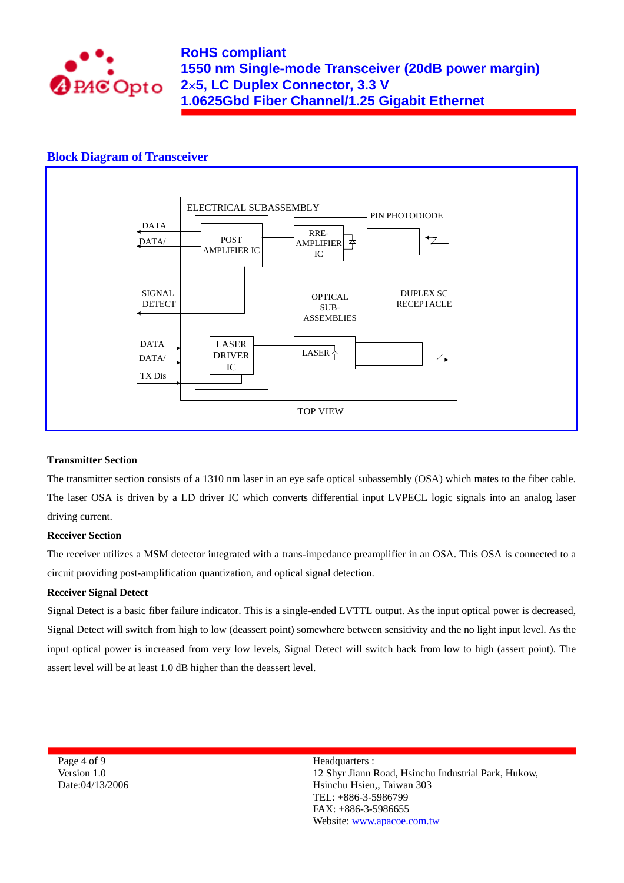

#### **Block Diagram of Transceiver**



#### **Transmitter Section**

The transmitter section consists of a 1310 nm laser in an eye safe optical subassembly (OSA) which mates to the fiber cable. The laser OSA is driven by a LD driver IC which converts differential input LVPECL logic signals into an analog laser driving current.

#### **Receiver Section**

The receiver utilizes a MSM detector integrated with a trans-impedance preamplifier in an OSA. This OSA is connected to a circuit providing post-amplification quantization, and optical signal detection.

#### **Receiver Signal Detect**

Signal Detect is a basic fiber failure indicator. This is a single-ended LVTTL output. As the input optical power is decreased, Signal Detect will switch from high to low (deassert point) somewhere between sensitivity and the no light input level. As the input optical power is increased from very low levels, Signal Detect will switch back from low to high (assert point). The assert level will be at least 1.0 dB higher than the deassert level.

Page 4 of 9 Version 1.0 Date:04/13/2006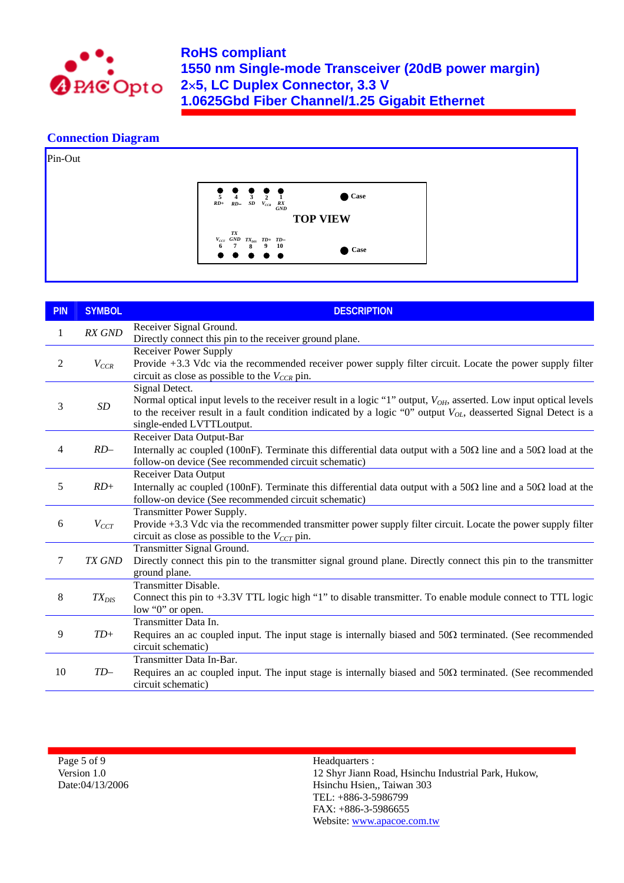

### **Connection Diagram**



| <b>PIN</b> | <b>SYMBOL</b> | <b>DESCRIPTION</b>                                                                                                                                                                                                                                                                                    |
|------------|---------------|-------------------------------------------------------------------------------------------------------------------------------------------------------------------------------------------------------------------------------------------------------------------------------------------------------|
| 1          | RX GND        | Receiver Signal Ground.<br>Directly connect this pin to the receiver ground plane.                                                                                                                                                                                                                    |
| 2          | $V_{CCR}$     | <b>Receiver Power Supply</b><br>Provide +3.3 Vdc via the recommended receiver power supply filter circuit. Locate the power supply filter<br>circuit as close as possible to the $V_{CCR}$ pin.                                                                                                       |
| 3          | $\cal SD$     | Signal Detect.<br>Normal optical input levels to the receiver result in a logic "1" output, V <sub>OH</sub> , asserted. Low input optical levels<br>to the receiver result in a fault condition indicated by a logic "0" output $V_{OL}$ , deasserted Signal Detect is a<br>single-ended LVTTLoutput. |
| 4          | $RD-$         | Receiver Data Output-Bar<br>Internally ac coupled (100nF). Terminate this differential data output with a 50 $\Omega$ line and a 50 $\Omega$ load at the<br>follow-on device (See recommended circuit schematic)                                                                                      |
| 5          | $RD+$         | <b>Receiver Data Output</b><br>Internally ac coupled (100nF). Terminate this differential data output with a 50 $\Omega$ line and a 50 $\Omega$ load at the<br>follow-on device (See recommended circuit schematic)                                                                                   |
| 6          | $V_{CCT}$     | Transmitter Power Supply.<br>Provide +3.3 Vdc via the recommended transmitter power supply filter circuit. Locate the power supply filter<br>circuit as close as possible to the $V_{CCT}$ pin.                                                                                                       |
| $\tau$     | TX GND        | Transmitter Signal Ground.<br>Directly connect this pin to the transmitter signal ground plane. Directly connect this pin to the transmitter<br>ground plane.                                                                                                                                         |
| 8          | $TX_{DIS}$    | <b>Transmitter Disable.</b><br>Connect this pin to +3.3V TTL logic high "1" to disable transmitter. To enable module connect to TTL logic<br>low "0" or open.                                                                                                                                         |
| 9          | $TD+$         | Transmitter Data In.<br>Requires an ac coupled input. The input stage is internally biased and $50\Omega$ terminated. (See recommended<br>circuit schematic)                                                                                                                                          |
| 10         | $TD-$         | Transmitter Data In-Bar.<br>Requires an ac coupled input. The input stage is internally biased and $50\Omega$ terminated. (See recommended<br>circuit schematic)                                                                                                                                      |

Page 5 of 9 Version 1.0 Date:04/13/2006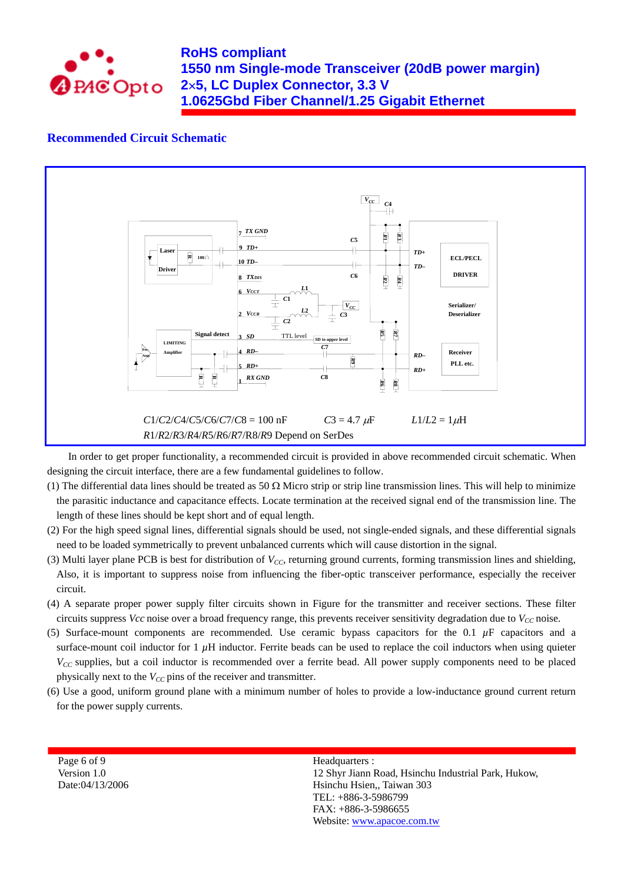

## **RoHS compliant 1550 nm Single-mode Transceiver (20dB power margin) 2**×**5, LC Duplex Connector, 3.3 V 1.0625Gbd Fiber Channel/1.25 Gigabit Ethernet**

### **Recommended Circuit Schematic**



In order to get proper functionality, a recommended circuit is provided in above recommended circuit schematic. When designing the circuit interface, there are a few fundamental guidelines to follow.

- (1) The differential data lines should be treated as 50  $\Omega$  Micro strip or strip line transmission lines. This will help to minimize the parasitic inductance and capacitance effects. Locate termination at the received signal end of the transmission line. The length of these lines should be kept short and of equal length.
- (2) For the high speed signal lines, differential signals should be used, not single-ended signals, and these differential signals need to be loaded symmetrically to prevent unbalanced currents which will cause distortion in the signal.
- (3) Multi layer plane PCB is best for distribution of *VCC*, returning ground currents, forming transmission lines and shielding, Also, it is important to suppress noise from influencing the fiber-optic transceiver performance, especially the receiver circuit.
- (4) A separate proper power supply filter circuits shown in Figure for the transmitter and receiver sections. These filter circuits suppress *Vcc* noise over a broad frequency range, this prevents receiver sensitivity degradation due to  $V_{CC}$  noise.
- (5) Surface-mount components are recommended. Use ceramic bypass capacitors for the  $0.1 \mu$ F capacitors and a surface-mount coil inductor for  $1 \mu$ H inductor. Ferrite beads can be used to replace the coil inductors when using quieter *V<sub>CC</sub>* supplies, but a coil inductor is recommended over a ferrite bead. All power supply components need to be placed physically next to the  $V_{CC}$  pins of the receiver and transmitter.
- (6) Use a good, uniform ground plane with a minimum number of holes to provide a low-inductance ground current return for the power supply currents.

Page 6 of 9 Version 1.0 Date:04/13/2006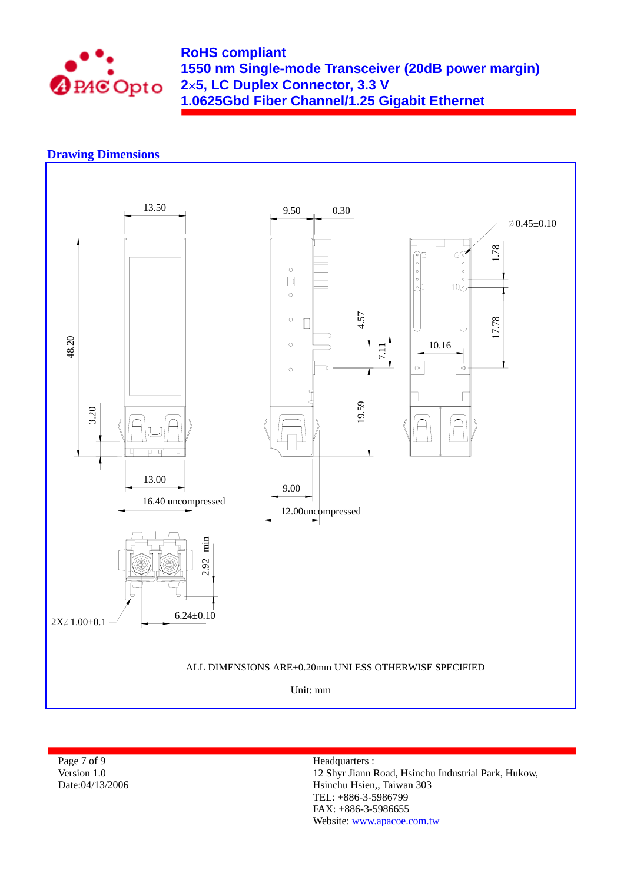

## **RoHS compliant 1550 nm Single-mode Transceiver (20dB power margin) 2**×**5, LC Duplex Connector, 3.3 V 1.0625Gbd Fiber Channel/1.25 Gigabit Ethernet**

## **Drawing Dimensions**



Page 7 of 9 Version 1.0 Date:04/13/2006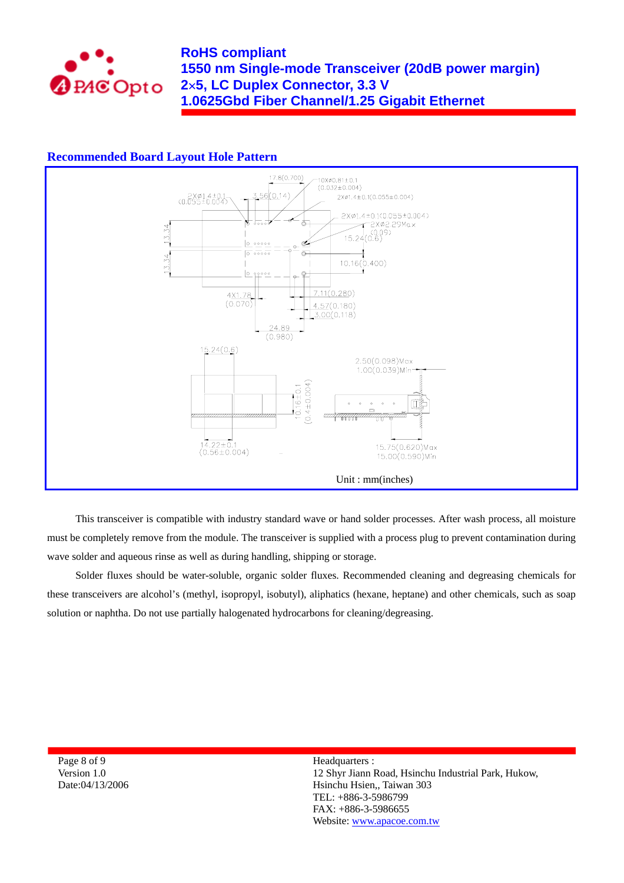

### **Recommended Board Layout Hole Pattern**



This transceiver is compatible with industry standard wave or hand solder processes. After wash process, all moisture must be completely remove from the module. The transceiver is supplied with a process plug to prevent contamination during wave solder and aqueous rinse as well as during handling, shipping or storage.

Solder fluxes should be water-soluble, organic solder fluxes. Recommended cleaning and degreasing chemicals for these transceivers are alcohol's (methyl, isopropyl, isobutyl), aliphatics (hexane, heptane) and other chemicals, such as soap solution or naphtha. Do not use partially halogenated hydrocarbons for cleaning/degreasing.

Page 8 of 9 Version 1.0 Date:04/13/2006